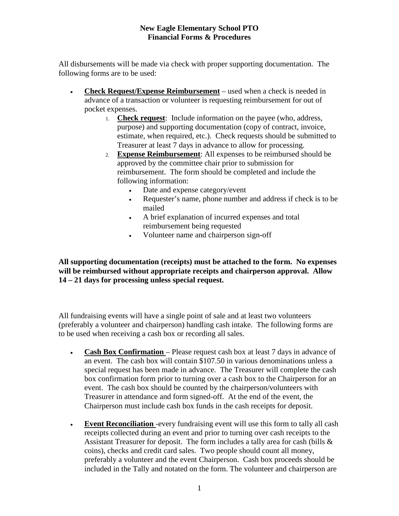## **New Eagle Elementary School PTO Financial Forms & Procedures**

All disbursements will be made via check with proper supporting documentation. The following forms are to be used:

- **Check Request/Expense Reimbursement** used when a check is needed in advance of a transaction or volunteer is requesting reimbursement for out of pocket expenses.
	- 1. **Check request**: Include information on the payee (who, address, purpose) and supporting documentation (copy of contract, invoice, estimate, when required, etc.). Check requests should be submitted to Treasurer at least 7 days in advance to allow for processing.
	- 2. **Expense Reimbursement**: All expenses to be reimbursed should be approved by the committee chair prior to submission for reimbursement. The form should be completed and include the following information:
		- Date and expense category/event
		- Requester's name, phone number and address if check is to be mailed
		- A brief explanation of incurred expenses and total reimbursement being requested
		- Volunteer name and chairperson sign-off

**All supporting documentation (receipts) must be attached to the form. No expenses will be reimbursed without appropriate receipts and chairperson approval. Allow 14 – 21 days for processing unless special request.**

All fundraising events will have a single point of sale and at least two volunteers (preferably a volunteer and chairperson) handling cash intake. The following forms are to be used when receiving a cash box or recording all sales.

- **Cash Box Confirmation**  Please request cash box at least 7 days in advance of an event. The cash box will contain \$107.50 in various denominations unless a special request has been made in advance. The Treasurer will complete the cash box confirmation form prior to turning over a cash box to the Chairperson for an event. The cash box should be counted by the chairperson/volunteers with Treasurer in attendance and form signed-off. At the end of the event, the Chairperson must include cash box funds in the cash receipts for deposit.
- **Event Reconciliation** -every fundraising event will use this form to tally all cash receipts collected during an event and prior to turning over cash receipts to the Assistant Treasurer for deposit. The form includes a tally area for cash (bills & coins), checks and credit card sales. Two people should count all money, preferably a volunteer and the event Chairperson. Cash box proceeds should be included in the Tally and notated on the form. The volunteer and chairperson are